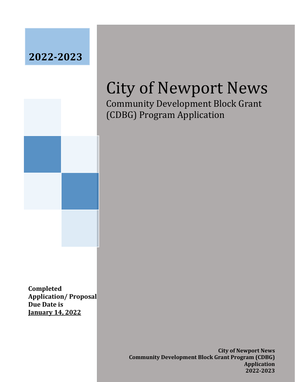## **2022-2023**



# City of Newport News

Community Development Block Grant (CDBG) Program Application

**Completed Application/ Proposal Due Date is January 14, 2022**

> **City of Newport News Community Development Block Grant Program (CDBG) Application 2022-2023**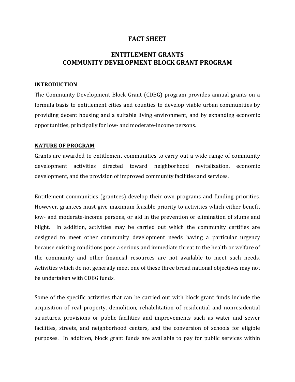### **FACT SHEET**

### **ENTITLEMENT GRANTS COMMUNITY DEVELOPMENT BLOCK GRANT PROGRAM**

### **INTRODUCTION**

The Community Development Block Grant (CDBG) program provides annual grants on a formula basis to entitlement cities and counties to develop viable urban communities by providing decent housing and a suitable living environment, and by expanding economic opportunities, principally for low- and moderate-income persons.

### **NATURE OF PROGRAM**

Grants are awarded to entitlement communities to carry out a wide range of community development activities directed toward neighborhood revitalization, economic development, and the provision of improved community facilities and services.

Entitlement communities (grantees) develop their own programs and funding priorities. However, grantees must give maximum feasible priority to activities which either benefit low- and moderate-income persons, or aid in the prevention or elimination of slums and blight. In addition, activities may be carried out which the community certifies are designed to meet other community development needs having a particular urgency because existing conditions pose a serious and immediate threat to the health or welfare of the community and other financial resources are not available to meet such needs. Activities which do not generally meet one of these three broad national objectives may not be undertaken with CDBG funds.

Some of the specific activities that can be carried out with block grant funds include the acquisition of real property, demolition, rehabilitation of residential and nonresidential structures, provisions or public facilities and improvements such as water and sewer facilities, streets, and neighborhood centers, and the conversion of schools for eligible purposes. In addition, block grant funds are available to pay for public services within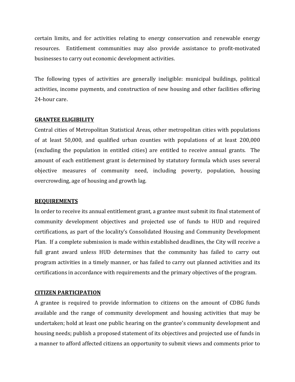certain limits, and for activities relating to energy conservation and renewable energy resources. Entitlement communities may also provide assistance to profit-motivated businesses to carry out economic development activities.

The following types of activities are generally ineligible: municipal buildings, political activities, income payments, and construction of new housing and other facilities offering 24-hour care.

### **GRANTEE ELIGIBILITY**

Central cities of Metropolitan Statistical Areas, other metropolitan cities with populations of at least 50,000, and qualified urban counties with populations of at least 200,000 (excluding the population in entitled cities) are entitled to receive annual grants. The amount of each entitlement grant is determined by statutory formula which uses several objective measures of community need, including poverty, population, housing overcrowding, age of housing and growth lag.

### **REQUIREMENTS**

In order to receive its annual entitlement grant, a grantee must submit its final statement of community development objectives and projected use of funds to HUD and required certifications, as part of the locality's Consolidated Housing and Community Development Plan. If a complete submission is made within established deadlines, the City will receive a full grant award unless HUD determines that the community has failed to carry out program activities in a timely manner, or has failed to carry out planned activities and its certifications in accordance with requirements and the primary objectives of the program.

#### **CITIZEN PARTICIPATION**

A grantee is required to provide information to citizens on the amount of CDBG funds available and the range of community development and housing activities that may be undertaken; hold at least one public hearing on the grantee's community development and housing needs; publish a proposed statement of its objectives and projected use of funds in a manner to afford affected citizens an opportunity to submit views and comments prior to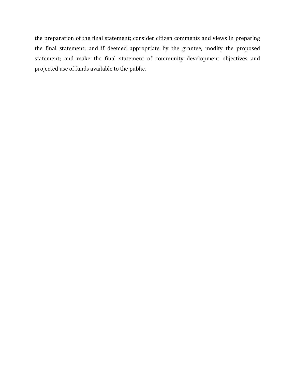the preparation of the final statement; consider citizen comments and views in preparing the final statement; and if deemed appropriate by the grantee, modify the proposed statement; and make the final statement of community development objectives and projected use of funds available to the public.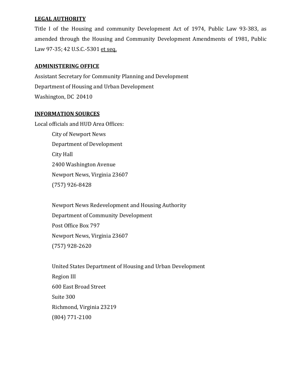### **LEGAL AUTHORITY**

Title I of the Housing and community Development Act of 1974, Public Law 93-383, as amended through the Housing and Community Development Amendments of 1981, Public Law 97-35; 42 U.S.C.-5301 et seq.

### **ADMINISTERING OFFICE**

Assistant Secretary for Community Planning and Development Department of Housing and Urban Development Washington, DC 20410

### **INFORMATION SOURCES**

Local officials and HUD Area Offices: City of Newport News Department of Development City Hall 2400 Washington Avenue Newport News, Virginia 23607 (757) 926-8428

> Newport News Redevelopment and Housing Authority Department of Community Development Post Office Box 797 Newport News, Virginia 23607 (757) 928-2620

United States Department of Housing and Urban Development Region III 600 East Broad Street Suite 300 Richmond, Virginia 23219 (804) 771-2100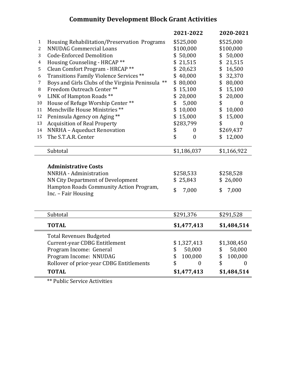### **Community Development Block Grant Activities**

|                |                                                   | 2021-2022              | 2020-2021              |
|----------------|---------------------------------------------------|------------------------|------------------------|
| 1              | Housing Rehabilitation/Preservation Programs      | \$525,000              | \$525,000              |
| $\overline{2}$ | <b>NNUDAG Commercial Loans</b>                    | \$100,000              | \$100,000              |
| 3              | <b>Code-Enforced Demolition</b>                   | \$50,000               | \$50,000               |
| 4              | Housing Counseling - HRCAP **                     | \$21,515               | \$<br>21,515           |
| 5              | Clean Comfort Program - HRCAP **                  | \$20,623               | \$<br>16,500           |
| 6              | Transitions Family Violence Services **           | \$40,000               | \$<br>32,370           |
| $\overline{7}$ | Boys and Girls Clubs of the Virginia Peninsula ** | \$80,000               | \$<br>80,000           |
| 8              | Freedom Outreach Center**                         | 15,100<br>\$           | \$<br>15,100           |
| 9              | LINK of Hampton Roads **                          | \$<br>20,000           | \$<br>20,000           |
| 10             | House of Refuge Worship Center**                  | \$<br>5,000            | \$<br>$\boldsymbol{0}$ |
| 11             | Menchville House Ministries **                    | \$<br>10,000           | \$<br>10,000           |
| 12             | Peninsula Agency on Aging **                      | 15,000<br>\$           | \$<br>15,000           |
| 13             | <b>Acquisition of Real Property</b>               | \$283,799              | \$<br>$\boldsymbol{0}$ |
| 14             | NNRHA - Aqueduct Renovation                       | \$<br>0                | \$269,437              |
| 15             | The S.T.A.R. Center                               | \$<br>$\boldsymbol{0}$ | 12,000<br>\$           |
|                | Subtotal                                          | \$1,186,037            | \$1,166,922            |
|                |                                                   |                        |                        |
|                | <b>Administrative Costs</b>                       |                        |                        |
|                | NNRHA - Administration                            | \$258,533              | \$258,528              |
|                | NN City Department of Development                 | \$25,843               | \$26,000               |
|                | Hampton Roads Community Action Program,           |                        |                        |
|                | Inc. - Fair Housing                               | \$<br>7,000            | 7,000<br>\$            |
|                |                                                   |                        |                        |
|                |                                                   |                        |                        |
|                | Subtotal                                          | \$291,376              | \$291,528              |
|                | <b>TOTAL</b>                                      | \$1,477,413            | \$1,484,514            |
|                | <b>Total Revenues Budgeted</b>                    |                        |                        |
|                | <b>Current-year CDBG Entitlement</b>              | \$1,327,413            | \$1,308,450            |
|                | Program Income: General                           | 50,000<br>\$           | 50,000<br>\$           |
|                | Program Income: NNUDAG                            | \$<br>100,000          | 100,000<br>\$          |
|                | Rollover of prior-year CDBG Entitlements          | \$<br>$\boldsymbol{0}$ | \$<br>$\boldsymbol{0}$ |
|                | <b>TOTAL</b>                                      | \$1,477,413            | \$1,484,514            |

\*\* Public Service Activities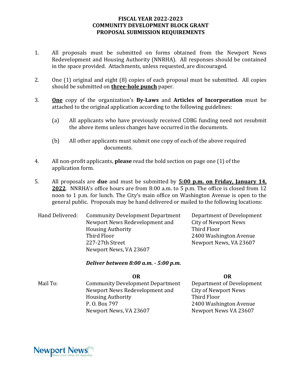### **FISCAL YEAR 2022-2023 COMMUNITY DEVELOPMENT BLOCK GRANT PROPOSAL SUBMISSION REQUIREMENTS**

- 1. All proposals must be submitted on forms obtained from the Newport News Redevelopment and Housing Authority (NNRHA). All responses should be contained in the space provided. Attachments, unless requested, are discouraged.
- 2. One (1) original and eight (8) copies of each proposal must be submitted. All copies should be submitted on **three-hole punch** paper.
- 3. **One** copy of the organization's **By-Laws** and **Articles of Incorporation** must be attached to the original application according to the following guidelines:
	- (a) All applicants who have previously received CDBG funding need not resubmit the above items unless changes have occurred in the documents.
	- (b) All other applicants must submit one copy of each of the above required documents.
- 4. All non-profit applicants, **please** read the bold section on page one (1) of the application form.
- 5. All proposals are **due** and must be submitted by **5:00 p.m. on Friday, January 14, 2022**. NNRHA's office hours are from 8:00 a.m. to 5 p.m. The office is closed from 12 noon to 1 p.m. for lunch. The City's main office on Washington Avenue is open to the general public. Proposals may be hand delivered or mailed to the following locations:

Hand Delivered: Community Development Department Newport News Redevelopment and Housing Authority Third Floor 227-27th Street Newport News, VA 23607

Department of Development City of Newport News Third Floor 2400 Washington Avenue Newport News, VA 23607

*Deliver between 8:00 a.m. - 5:00 p.m.*

**OR OR**

Mail To: Community Development Department Newport News Redevelopment and Housing Authority P. O. Box 797 Newport News, VA 23607

Department of Development City of Newport News Third Floor 2400 Washington Avenue Newport News VA 23607

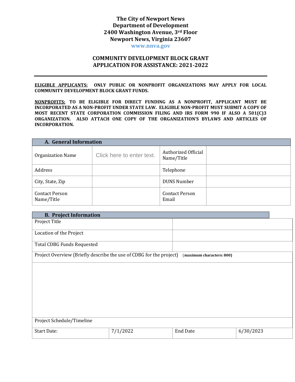### **The City of Newport News Department of Development 2400 Washington Avenue, 3rd Floor Newport News, Virginia 23607**

**www.nnva.gov**

### **COMMUNITY DEVELOPMENT BLOCK GRANT APPLICATION FOR ASSISTANCE: 2021-2022**

**ELIGIBLE APPLICANTS: ONLY PUBLIC OR NONPROFIT ORGANIZATIONS MAY APPLY FOR LOCAL COMMUNITY DEVELOPMENT BLOCK GRANT FUNDS.**

**NONPROFITS: TO BE ELIGIBLE FOR DIRECT FUNDING AS A NONPROFIT, APPLICANT MUST BE INCORPORATED AS A NON-PROFIT UNDER STATE LAW. ELIGIBLE NON-PROFIT MUST SUBMIT A COPY OF MOST RECENT STATE CORPORATION COMMISSION FILING AND IRS FORM 990 IF ALSO A 501(C)3 ORGANIZATION. ALSO ATTACH ONE COPY OF THE ORGANIZATION'S BYLAWS AND ARTICLES OF INCORPORATION.**

| A. General Information              |                           |                                   |  |  |
|-------------------------------------|---------------------------|-----------------------------------|--|--|
| <b>Organization Name</b>            | Click here to enter text. | Authorized Official<br>Name/Title |  |  |
| Address                             |                           | Telephone                         |  |  |
| City, State, Zip                    |                           | <b>DUNS Number</b>                |  |  |
| <b>Contact Person</b><br>Name/Title |                           | <b>Contact Person</b><br>Email    |  |  |

| <b>B. Project Information</b>                                       |          |                           |           |  |
|---------------------------------------------------------------------|----------|---------------------------|-----------|--|
| Project Title                                                       |          |                           |           |  |
| Location of the Project                                             |          |                           |           |  |
| <b>Total CDBG Funds Requested</b>                                   |          |                           |           |  |
| Project Overview (Briefly describe the use of CDBG for the project) |          | (maximum characters: 800) |           |  |
|                                                                     |          |                           |           |  |
|                                                                     |          |                           |           |  |
|                                                                     |          |                           |           |  |
|                                                                     |          |                           |           |  |
|                                                                     |          |                           |           |  |
| Project Schedule/Timeline                                           |          |                           |           |  |
| <b>Start Date:</b>                                                  | 7/1/2022 | <b>End Date</b>           | 6/30/2023 |  |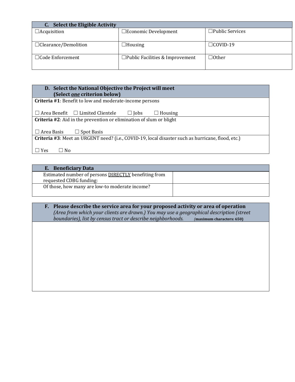| C. Select the Eligible Activity |                                           |                        |  |  |
|---------------------------------|-------------------------------------------|------------------------|--|--|
| $\Box$ Acquisition              | $\square$ Economic Development            | $\Box$ Public Services |  |  |
|                                 |                                           |                        |  |  |
| $\Box$ Clearance/Demolition     | $\Box$ Housing                            | $\Box$ COVID-19        |  |  |
| $\Box$ Code Enforcement         | $\square$ Public Facilities & Improvement | $\Box$ Other           |  |  |

| D. Select the National Objective the Project will meet<br>(Select <i>one</i> criterion below)     |  |  |  |  |  |
|---------------------------------------------------------------------------------------------------|--|--|--|--|--|
| <b>Criteria #1:</b> Benefit to low and moderate-income persons                                    |  |  |  |  |  |
| $\Box$ Area Benefit $\Box$ Limited Clientele<br>$\Box$ Housing<br>$\Box$ Jobs                     |  |  |  |  |  |
| Criteria #2: Aid in the prevention or elimination of slum or blight                               |  |  |  |  |  |
| $\Box$ Area Basis<br>$\Box$ Spot Basis                                                            |  |  |  |  |  |
| Criteria #3: Meet an URGENT need? (i.e., COVID-19, local disaster such as hurricane, flood, etc.) |  |  |  |  |  |
| <b>Yes</b><br>∐ No                                                                                |  |  |  |  |  |

| E. Beneficiary Data                                                                    |  |
|----------------------------------------------------------------------------------------|--|
| Estimated number of persons <b>DIRECTLY</b> benefiting from<br>requested CDBG funding: |  |
| Of those, how many are low-to moderate income?                                         |  |

### **F. Please describe the service area for your proposed activity or area of operation** *(Area from which your clients are drawn.) You may use a geographical description (street boundaries), list by census tract or describe neighborhoods. (***maximum characters: 650)**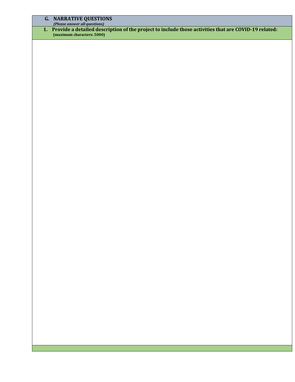#### **G. NARRATIVE QUESTIONS**

*(Please answer all questions)*

**1. Provide a detailed description of the project to include those activities that are COVID-19 related: (maximum characters: 5000)**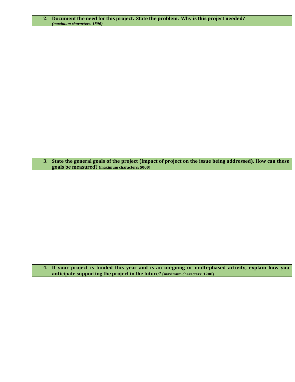| 2. | Document the need for this project. State the problem. Why is this project needed?<br>(maximum characters: 1800)                                                                   |
|----|------------------------------------------------------------------------------------------------------------------------------------------------------------------------------------|
|    |                                                                                                                                                                                    |
|    |                                                                                                                                                                                    |
|    |                                                                                                                                                                                    |
|    |                                                                                                                                                                                    |
|    |                                                                                                                                                                                    |
|    |                                                                                                                                                                                    |
|    |                                                                                                                                                                                    |
|    |                                                                                                                                                                                    |
|    |                                                                                                                                                                                    |
|    |                                                                                                                                                                                    |
|    |                                                                                                                                                                                    |
|    |                                                                                                                                                                                    |
| 3. | State the general goals of the project (Impact of project on the issue being addressed). How can these                                                                             |
|    | goals be measured? (maximum characters: 5000)                                                                                                                                      |
|    |                                                                                                                                                                                    |
|    |                                                                                                                                                                                    |
|    |                                                                                                                                                                                    |
|    |                                                                                                                                                                                    |
|    |                                                                                                                                                                                    |
|    |                                                                                                                                                                                    |
|    |                                                                                                                                                                                    |
|    |                                                                                                                                                                                    |
|    |                                                                                                                                                                                    |
|    | 4. If your project is funded this year and is an on-going or multi-phased activity, explain how you<br>anticipate supporting the project in the future? (maximum characters: 1200) |
|    |                                                                                                                                                                                    |
|    |                                                                                                                                                                                    |
|    |                                                                                                                                                                                    |
|    |                                                                                                                                                                                    |
|    |                                                                                                                                                                                    |
|    |                                                                                                                                                                                    |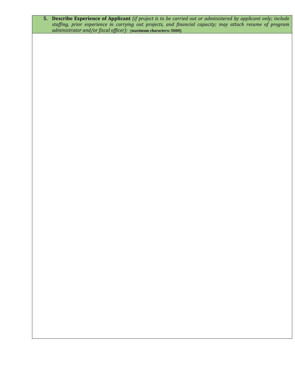**5. Describe Experience of Applicant** *(if project is to be carried out or administered by applicant only; include staffing, prior experience in carrying out projects, and financial capacity; may attach resume of program administrator and/or fiscal officer):* (**maximum characters: 5000)**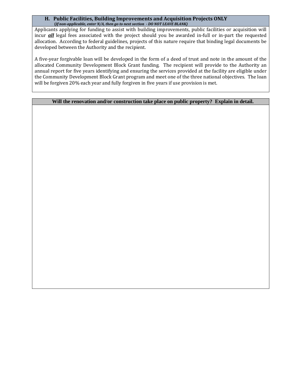#### **H. Public Facilities, Building Improvements and Acquisition Projects ONLY (***If non-applicable, enter N/A, then go to next section - DO NOT LEAVE BLANK)*

Applicants applying for funding to assist with building improvements, public facilities or acquisition will incur *all* legal fees associated with the project should you be awarded in-full or in-part the requested allocation. According to federal guidelines, projects of this nature require that binding legal documents be developed between the Authority and the recipient.

A five-year forgivable loan will be developed in the form of a deed of trust and note in the amount of the allocated Community Development Block Grant funding. The recipient will provide to the Authority an annual report for five years identifying and ensuring the services provided at the facility are eligible under the Community Development Block Grant program and meet one of the three national objectives. The loan will be forgiven 20% each year and fully forgiven in five years if use provision is met.

### **Will the renovation and/or construction take place on public property? Explain in detail.**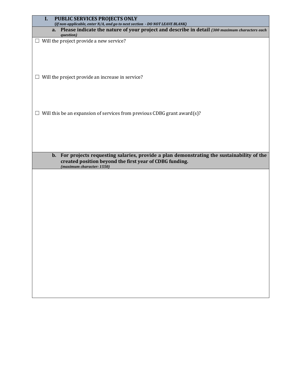| I.<br>PUBLIC SERVICES PROJECTS ONLY<br>(If non-applicable, enter N/A, and go to next section - DO NOT LEAVE BLANK)                                                                  |
|-------------------------------------------------------------------------------------------------------------------------------------------------------------------------------------|
| a. Please indicate the nature of your project and describe in detail (300 maximum characters each<br>question)                                                                      |
| $\Box$ Will the project provide a new service?                                                                                                                                      |
|                                                                                                                                                                                     |
|                                                                                                                                                                                     |
| $\Box$ Will the project provide an increase in service?                                                                                                                             |
|                                                                                                                                                                                     |
|                                                                                                                                                                                     |
| $\Box$ Will this be an expansion of services from previous CDBG grant award(s)?                                                                                                     |
|                                                                                                                                                                                     |
|                                                                                                                                                                                     |
| b. For projects requesting salaries, provide a plan demonstrating the sustainability of the<br>created position beyond the first year of CDBG funding.<br>(maximum character: 1550) |
|                                                                                                                                                                                     |
|                                                                                                                                                                                     |
|                                                                                                                                                                                     |
|                                                                                                                                                                                     |
|                                                                                                                                                                                     |
|                                                                                                                                                                                     |
|                                                                                                                                                                                     |
|                                                                                                                                                                                     |
|                                                                                                                                                                                     |
|                                                                                                                                                                                     |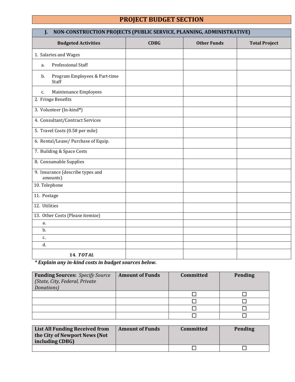### **PROJECT BUDGET SECTION**

| NON-CONSTRUCTION PROJECTS (PUBLIC SERVICE, PLANNING, ADMINISTRATIVE)<br>J. |             |                    |                      |  |
|----------------------------------------------------------------------------|-------------|--------------------|----------------------|--|
| <b>Budgeted Activities</b>                                                 | <b>CDBG</b> | <b>Other Funds</b> | <b>Total Project</b> |  |
| 1. Salaries and Wages                                                      |             |                    |                      |  |
| Professional Staff<br>a.                                                   |             |                    |                      |  |
| Program Employees & Part-time<br>b.<br>Staff                               |             |                    |                      |  |
| Maintenance Employees<br>c.                                                |             |                    |                      |  |
| 2. Fringe Benefits                                                         |             |                    |                      |  |
| 3. Volunteer (In-kind*)                                                    |             |                    |                      |  |
| 4. Consultant/Contract Services                                            |             |                    |                      |  |
| 5. Travel Costs (0.58 per mile)                                            |             |                    |                      |  |
| 6. Rental/Lease/ Purchase of Equip.                                        |             |                    |                      |  |
| 7. Building & Space Costs                                                  |             |                    |                      |  |
| 8. Consumable Supplies                                                     |             |                    |                      |  |
| 9. Insurance (describe types and<br>amounts)                               |             |                    |                      |  |
| 10. Telephone                                                              |             |                    |                      |  |
| 11. Postage                                                                |             |                    |                      |  |
| 12. Utilities                                                              |             |                    |                      |  |
| 13. Other Costs (Please itemize)                                           |             |                    |                      |  |
| a.                                                                         |             |                    |                      |  |
| b.                                                                         |             |                    |                      |  |
| c.                                                                         |             |                    |                      |  |
| d.                                                                         |             |                    |                      |  |
| <b>14. TOTAL</b>                                                           |             |                    |                      |  |

*\* Explain any in-kind costs in budget sources below.*

| <b>Funding Sources:</b> Specify Source<br>(State, City, Federal, Private<br>Donations) | <b>Amount of Funds</b> | Committed | <b>Pending</b> |
|----------------------------------------------------------------------------------------|------------------------|-----------|----------------|
|                                                                                        |                        |           |                |
|                                                                                        |                        |           |                |
|                                                                                        |                        |           |                |
|                                                                                        |                        |           |                |

| <b>List All Funding Received from</b><br>the City of Newport News (Not<br>including CDBG) | <b>Amount of Funds</b> | Committed | Pending |
|-------------------------------------------------------------------------------------------|------------------------|-----------|---------|
|                                                                                           |                        |           |         |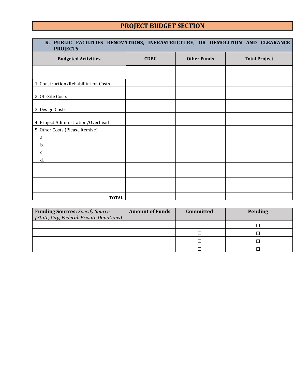### **PROJECT BUDGET SECTION**

| K. PUBLIC FACILITIES RENOVATIONS, INFRASTRUCTURE, OR DEMOLITION AND CLEARANCE<br><b>PROJECTS</b> |             |                    |                      |  |  |
|--------------------------------------------------------------------------------------------------|-------------|--------------------|----------------------|--|--|
| <b>Budgeted Activities</b>                                                                       | <b>CDBG</b> | <b>Other Funds</b> | <b>Total Project</b> |  |  |
|                                                                                                  |             |                    |                      |  |  |
| 1. Construction/Rehabilitation Costs                                                             |             |                    |                      |  |  |
| 2. Off-Site Costs                                                                                |             |                    |                      |  |  |
| 3. Design Costs                                                                                  |             |                    |                      |  |  |
| 4. Project Administration/Overhead                                                               |             |                    |                      |  |  |
| 5. Other Costs (Please itemize)                                                                  |             |                    |                      |  |  |
| a.                                                                                               |             |                    |                      |  |  |
| b.                                                                                               |             |                    |                      |  |  |
| c.                                                                                               |             |                    |                      |  |  |
| d.                                                                                               |             |                    |                      |  |  |
|                                                                                                  |             |                    |                      |  |  |
|                                                                                                  |             |                    |                      |  |  |
|                                                                                                  |             |                    |                      |  |  |
|                                                                                                  |             |                    |                      |  |  |
| <b>TOTAL</b>                                                                                     |             |                    |                      |  |  |

| <b>Funding Sources:</b> Specify Source    | <b>Amount of Funds</b> | Committed | <b>Pending</b> |
|-------------------------------------------|------------------------|-----------|----------------|
| (State, City, Federal. Private Donations) |                        |           |                |
|                                           |                        |           |                |
|                                           |                        |           |                |
|                                           |                        |           |                |
|                                           |                        |           |                |